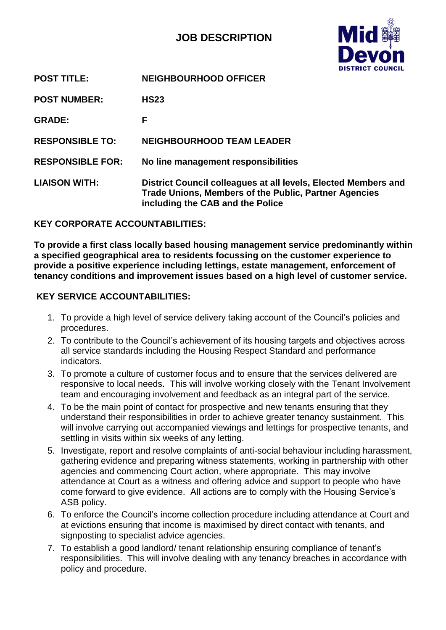# **JOB DESCRIPTION**



| <b>POST TITLE:</b>      | <b>NEIGHBOURHOOD OFFICER</b>                                                                                                                                       |
|-------------------------|--------------------------------------------------------------------------------------------------------------------------------------------------------------------|
| <b>POST NUMBER:</b>     | <b>HS23</b>                                                                                                                                                        |
| <b>GRADE:</b>           | F                                                                                                                                                                  |
| <b>RESPONSIBLE TO:</b>  | <b>NEIGHBOURHOOD TEAM LEADER</b>                                                                                                                                   |
| <b>RESPONSIBLE FOR:</b> | No line management responsibilities                                                                                                                                |
| <b>LIAISON WITH:</b>    | District Council colleagues at all levels, Elected Members and<br><b>Trade Unions, Members of the Public, Partner Agencies</b><br>including the CAB and the Police |

**KEY CORPORATE ACCOUNTABILITIES:**

**To provide a first class locally based housing management service predominantly within a specified geographical area to residents focussing on the customer experience to provide a positive experience including lettings, estate management, enforcement of tenancy conditions and improvement issues based on a high level of customer service.**

# **KEY SERVICE ACCOUNTABILITIES:**

- 1. To provide a high level of service delivery taking account of the Council's policies and procedures.
- 2. To contribute to the Council's achievement of its housing targets and objectives across all service standards including the Housing Respect Standard and performance indicators.
- 3. To promote a culture of customer focus and to ensure that the services delivered are responsive to local needs. This will involve working closely with the Tenant Involvement team and encouraging involvement and feedback as an integral part of the service.
- 4. To be the main point of contact for prospective and new tenants ensuring that they understand their responsibilities in order to achieve greater tenancy sustainment. This will involve carrying out accompanied viewings and lettings for prospective tenants, and settling in visits within six weeks of any letting.
- 5. Investigate, report and resolve complaints of anti-social behaviour including harassment, gathering evidence and preparing witness statements, working in partnership with other agencies and commencing Court action, where appropriate. This may involve attendance at Court as a witness and offering advice and support to people who have come forward to give evidence. All actions are to comply with the Housing Service's ASB policy.
- 6. To enforce the Council's income collection procedure including attendance at Court and at evictions ensuring that income is maximised by direct contact with tenants, and signposting to specialist advice agencies.
- 7. To establish a good landlord/ tenant relationship ensuring compliance of tenant's responsibilities. This will involve dealing with any tenancy breaches in accordance with policy and procedure.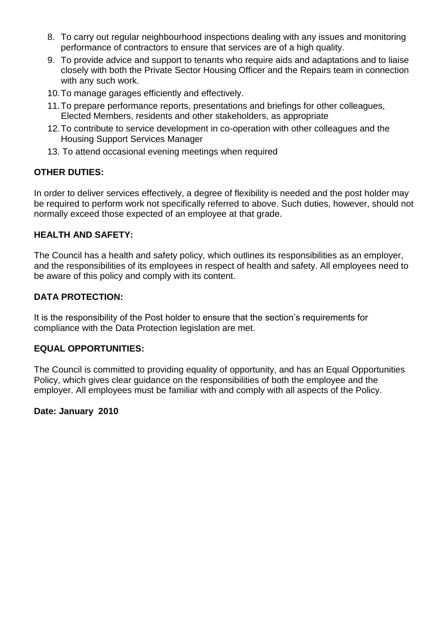- 8. To carry out regular neighbourhood inspections dealing with any issues and monitoring performance of contractors to ensure that services are of a high quality.
- 9. To provide advice and support to tenants who require aids and adaptations and to liaise closely with both the Private Sector Housing Officer and the Repairs team in connection with any such work.
- 10.To manage garages efficiently and effectively.
- 11.To prepare performance reports, presentations and briefings for other colleagues, Elected Members, residents and other stakeholders, as appropriate
- 12.To contribute to service development in co-operation with other colleagues and the Housing Support Services Manager
- 13. To attend occasional evening meetings when required

# **OTHER DUTIES:**

In order to deliver services effectively, a degree of flexibility is needed and the post holder may be required to perform work not specifically referred to above. Such duties, however, should not normally exceed those expected of an employee at that grade.

### **HEALTH AND SAFETY:**

The Council has a health and safety policy, which outlines its responsibilities as an employer, and the responsibilities of its employees in respect of health and safety. All employees need to be aware of this policy and comply with its content.

# **DATA PROTECTION:**

It is the responsibility of the Post holder to ensure that the section's requirements for compliance with the Data Protection legislation are met.

### **EQUAL OPPORTUNITIES:**

The Council is committed to providing equality of opportunity, and has an Equal Opportunities Policy, which gives clear guidance on the responsibilities of both the employee and the employer. All employees must be familiar with and comply with all aspects of the Policy.

### **Date: January 2010**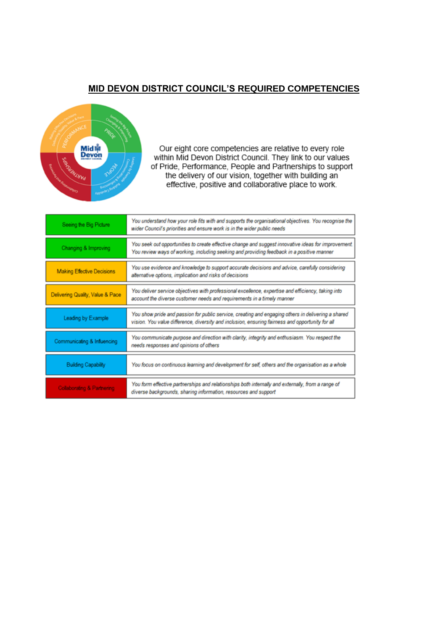### **MID DEVON DISTRICT COUNCIL'S REQUIRED COMPETENCIES**



Our eight core competencies are relative to every role within Mid Devon District Council. They link to our values of Pride, Performance, People and Partnerships to support the delivery of our vision, together with building an effective, positive and collaborative place to work.

| Seeing the Big Picture            | You understand how your role fits with and supports the organisational objectives. You recognise the<br>wider Council's priorities and ensure work is in the wider public needs                        |
|-----------------------------------|--------------------------------------------------------------------------------------------------------------------------------------------------------------------------------------------------------|
| Changing & Improving              | You seek out opportunities to create effective change and suggest innovative ideas for improvement.<br>You review ways of working, including seeking and providing feedback in a positive manner       |
| <b>Making Effective Decisions</b> | You use evidence and knowledge to support accurate decisions and advice, carefully considering<br>alternative options, implication and risks of decisions                                              |
| Delivering Quality, Value & Pace  | You deliver service objectives with professional excellence, expertise and efficiency, taking into<br>account the diverse customer needs and requirements in a timely manner                           |
| Leading by Example                | You show pride and passion for public service, creating and engaging others in delivering a shared<br>vision. You value difference, diversity and inclusion, ensuring fairness and opportunity for all |
| Communicating & Influencing       | You communicate purpose and direction with clarity, integrity and enthusiasm. You respect the<br>needs responses and opinions of others                                                                |
| <b>Building Capability</b>        | You focus on continuous learning and development for self, others and the organisation as a whole                                                                                                      |
| Collaborating & Partnering        | You form effective partnerships and relationships both internally and externally, from a range of<br>diverse backgrounds, sharing information, resources and support                                   |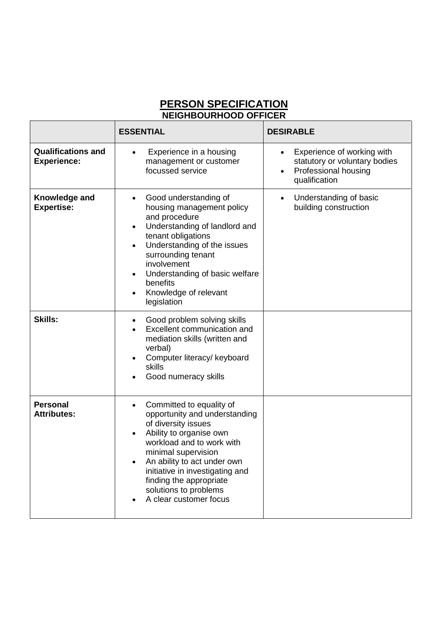# **PERSON SPECIFICATION NEIGHBOURHOOD OFFICER**

|                                                 | <b>ESSENTIAL</b>                                                                                                                                                                                                                                                                                                                                      | <b>DESIRABLE</b>                                                                                                               |
|-------------------------------------------------|-------------------------------------------------------------------------------------------------------------------------------------------------------------------------------------------------------------------------------------------------------------------------------------------------------------------------------------------------------|--------------------------------------------------------------------------------------------------------------------------------|
| <b>Qualifications and</b><br><b>Experience:</b> | Experience in a housing<br>$\bullet$<br>management or customer<br>focussed service                                                                                                                                                                                                                                                                    | Experience of working with<br>$\bullet$<br>statutory or voluntary bodies<br>Professional housing<br>$\bullet$<br>qualification |
| Knowledge and<br><b>Expertise:</b>              | Good understanding of<br>$\bullet$<br>housing management policy<br>and procedure<br>Understanding of landlord and<br>$\bullet$<br>tenant obligations<br>Understanding of the issues<br>$\bullet$<br>surrounding tenant<br>involvement<br>Understanding of basic welfare<br>$\bullet$<br>benefits<br>Knowledge of relevant<br>$\bullet$<br>legislation | Understanding of basic<br>$\bullet$<br>building construction                                                                   |
| <b>Skills:</b>                                  | Good problem solving skills<br>$\bullet$<br>Excellent communication and<br>mediation skills (written and<br>verbal)<br>Computer literacy/ keyboard<br><b>skills</b><br>Good numeracy skills                                                                                                                                                           |                                                                                                                                |
| <b>Personal</b><br><b>Attributes:</b>           | Committed to equality of<br>$\bullet$<br>opportunity and understanding<br>of diversity issues<br>Ability to organise own<br>$\bullet$<br>workload and to work with<br>minimal supervision<br>An ability to act under own<br>initiative in investigating and<br>finding the appropriate<br>solutions to problems<br>A clear customer focus             |                                                                                                                                |